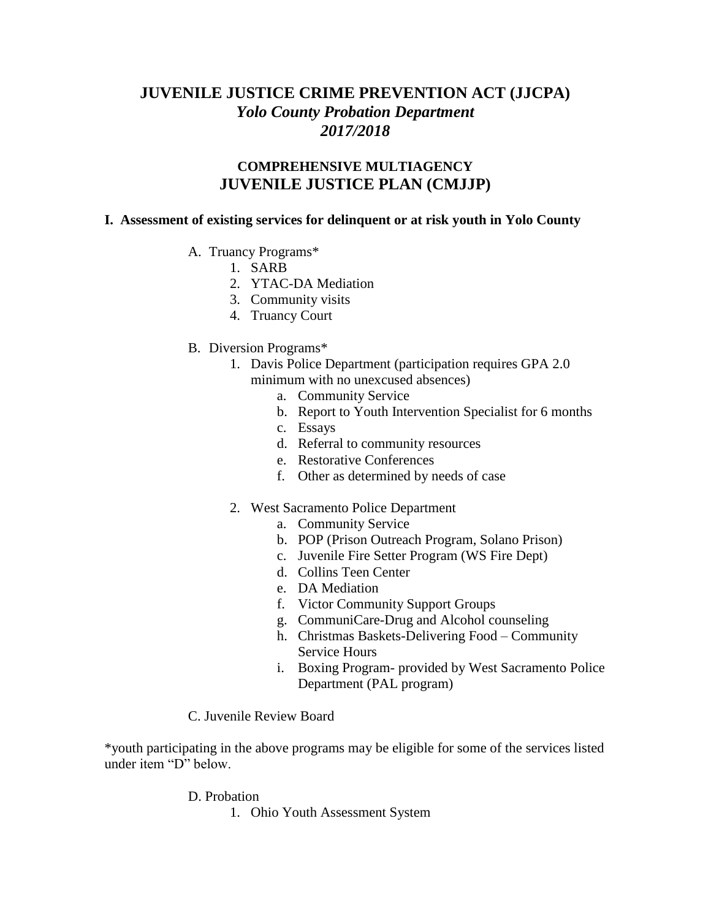# **JUVENILE JUSTICE CRIME PREVENTION ACT (JJCPA)** *Yolo County Probation Department 2017/2018*

# **COMPREHENSIVE MULTIAGENCY JUVENILE JUSTICE PLAN (CMJJP)**

# **I. Assessment of existing services for delinquent or at risk youth in Yolo County**

#### A. Truancy Programs\*

- 1. SARB
- 2. YTAC-DA Mediation
- 3. Community visits
- 4. Truancy Court

# B. Diversion Programs\*

- 1. Davis Police Department (participation requires GPA 2.0
	- minimum with no unexcused absences)
		- a. Community Service
		- b. Report to Youth Intervention Specialist for 6 months
		- c. Essays
		- d. Referral to community resources
		- e. Restorative Conferences
		- f. Other as determined by needs of case

# 2. West Sacramento Police Department

- a. Community Service
- b. POP (Prison Outreach Program, Solano Prison)
- c. Juvenile Fire Setter Program (WS Fire Dept)
- d. Collins Teen Center
- e. DA Mediation
- f. Victor Community Support Groups
- g. CommuniCare-Drug and Alcohol counseling
- h. Christmas Baskets-Delivering Food Community Service Hours
- i. Boxing Program- provided by West Sacramento Police Department (PAL program)

# C. Juvenile Review Board

\*youth participating in the above programs may be eligible for some of the services listed under item "D" below.

# D. Probation

1. Ohio Youth Assessment System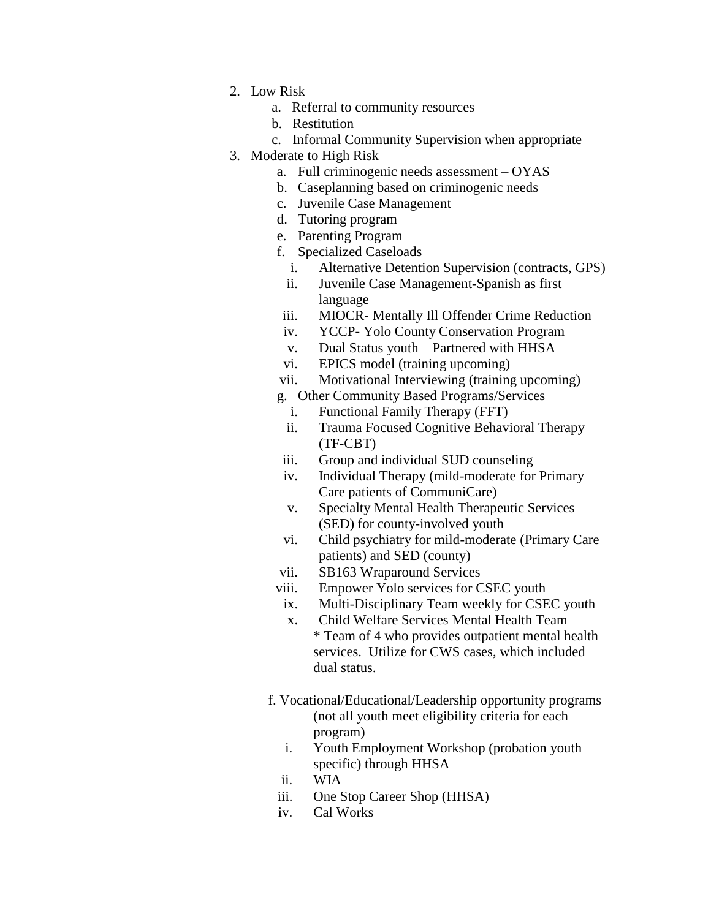- 2. Low Risk
	- a. Referral to community resources
	- b. Restitution
	- c. Informal Community Supervision when appropriate
- 3. Moderate to High Risk
	- a. Full criminogenic needs assessment OYAS
	- b. Caseplanning based on criminogenic needs
	- c. Juvenile Case Management
	- d. Tutoring program
	- e. Parenting Program
	- f. Specialized Caseloads
		- i. Alternative Detention Supervision (contracts, GPS)
		- ii. Juvenile Case Management-Spanish as first language
	- iii. MIOCR- Mentally Ill Offender Crime Reduction
	- iv. YCCP- Yolo County Conservation Program
	- v. Dual Status youth Partnered with HHSA
	- vi. EPICS model (training upcoming)
	- vii. Motivational Interviewing (training upcoming)
	- g. Other Community Based Programs/Services
		- i. Functional Family Therapy (FFT)
		- ii. Trauma Focused Cognitive Behavioral Therapy (TF-CBT)
	- iii. Group and individual SUD counseling
	- iv. Individual Therapy (mild-moderate for Primary Care patients of CommuniCare)
	- v. Specialty Mental Health Therapeutic Services (SED) for county-involved youth
	- vi. Child psychiatry for mild-moderate (Primary Care patients) and SED (county)
	- vii. SB163 Wraparound Services
	- viii. Empower Yolo services for CSEC youth
	- ix. Multi-Disciplinary Team weekly for CSEC youth
	- x. Child Welfare Services Mental Health Team \* Team of 4 who provides outpatient mental health services. Utilize for CWS cases, which included dual status.
	- f. Vocational/Educational/Leadership opportunity programs (not all youth meet eligibility criteria for each program)
		- i. Youth Employment Workshop (probation youth specific) through HHSA
		- ii. WIA
		- iii. One Stop Career Shop (HHSA)
		- iv. Cal Works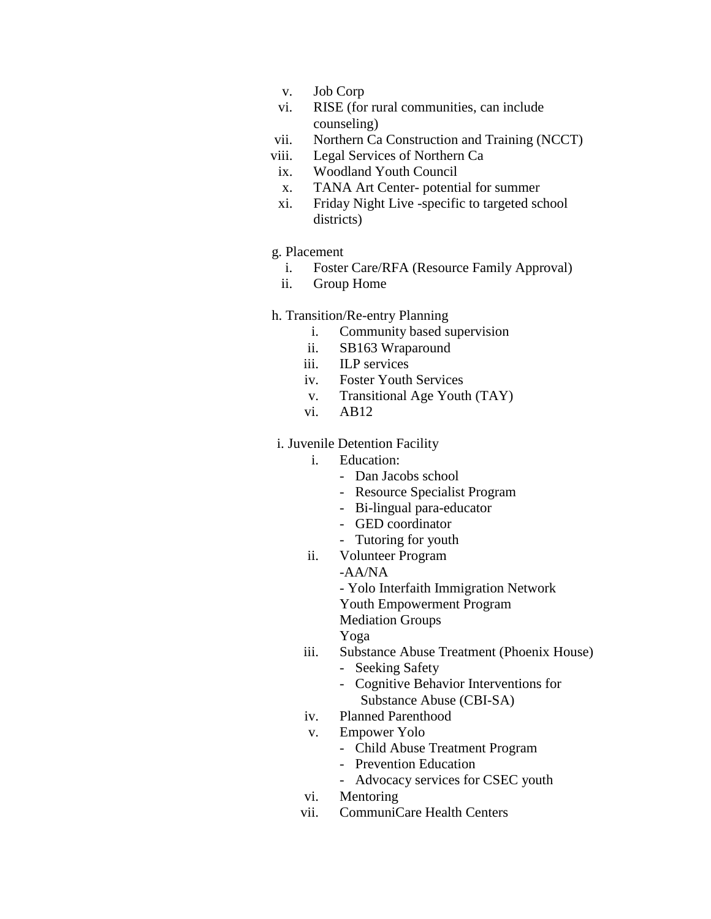- v. Job Corp
- vi. RISE (for rural communities, can include counseling)
- vii. Northern Ca Construction and Training (NCCT)
- viii. Legal Services of Northern Ca
- ix. Woodland Youth Council
- x. TANA Art Center- potential for summer
- xi. Friday Night Live -specific to targeted school districts)

#### g. Placement

- i. Foster Care/RFA (Resource Family Approval)
- ii. Group Home

#### h. Transition/Re-entry Planning

- i. Community based supervision
- ii. SB163 Wraparound
- iii. ILP services
- iv. Foster Youth Services
- v. Transitional Age Youth (TAY)
- vi. AB12

#### i. Juvenile Detention Facility

- i. Education:
	- Dan Jacobs school
	- Resource Specialist Program
	- Bi-lingual para-educator
	- GED coordinator
	- Tutoring for youth
- ii. Volunteer Program
	- -AA/NA
	- Yolo Interfaith Immigration Network
	- Youth Empowerment Program
	- Mediation Groups

#### Yoga

- iii. Substance Abuse Treatment (Phoenix House)
	- Seeking Safety
	- Cognitive Behavior Interventions for Substance Abuse (CBI-SA)
- iv. Planned Parenthood
- v. Empower Yolo
	- Child Abuse Treatment Program
	- Prevention Education
	- Advocacy services for CSEC youth
- vi. Mentoring
- vii. CommuniCare Health Centers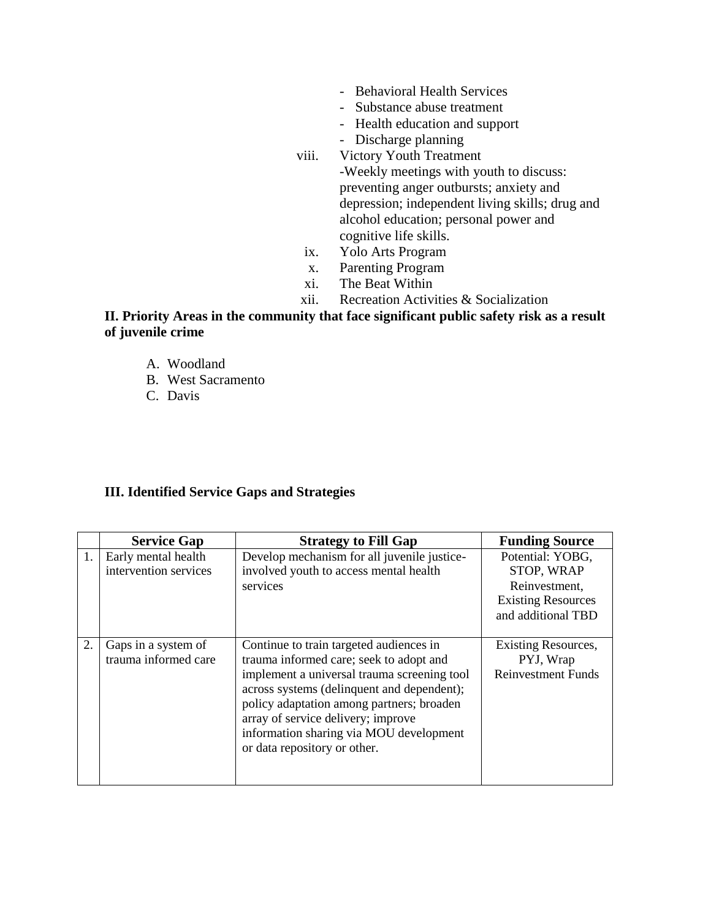- Behavioral Health Services
- Substance abuse treatment
- Health education and support
- Discharge planning
- viii. Victory Youth Treatment -Weekly meetings with youth to discuss: preventing anger outbursts; anxiety and depression; independent living skills; drug and alcohol education; personal power and cognitive life skills.
- ix. Yolo Arts Program
- x. Parenting Program
- xi. The Beat Within
- xii. Recreation Activities & Socialization

# **II. Priority Areas in the community that face significant public safety risk as a result of juvenile crime**

- A. Woodland
- B. West Sacramento
- C. Davis

# **III. Identified Service Gaps and Strategies**

|    | <b>Service Gap</b>                           | <b>Strategy to Fill Gap</b>                                                                                                                                                                                                                                                                                                                   | <b>Funding Source</b>                                                                              |
|----|----------------------------------------------|-----------------------------------------------------------------------------------------------------------------------------------------------------------------------------------------------------------------------------------------------------------------------------------------------------------------------------------------------|----------------------------------------------------------------------------------------------------|
| 1. | Early mental health<br>intervention services | Develop mechanism for all juvenile justice-<br>involved youth to access mental health<br>services                                                                                                                                                                                                                                             | Potential: YOBG,<br>STOP, WRAP<br>Reinvestment.<br><b>Existing Resources</b><br>and additional TBD |
| 2. | Gaps in a system of<br>trauma informed care  | Continue to train targeted audiences in<br>trauma informed care; seek to adopt and<br>implement a universal trauma screening tool<br>across systems (delinquent and dependent);<br>policy adaptation among partners; broaden<br>array of service delivery; improve<br>information sharing via MOU development<br>or data repository or other. | Existing Resources,<br>PYJ, Wrap<br><b>Reinvestment Funds</b>                                      |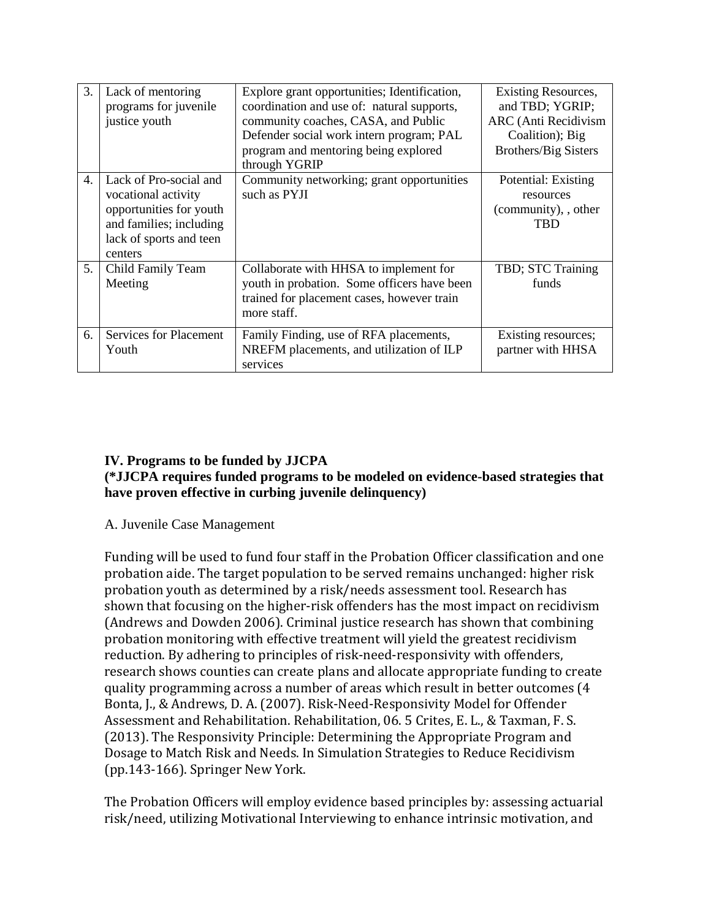| 3. | Lack of mentoring<br>programs for juvenile<br>justice youth                                                                               | Explore grant opportunities; Identification,<br>coordination and use of: natural supports,<br>community coaches, CASA, and Public<br>Defender social work intern program; PAL<br>program and mentoring being explored<br>through YGRIP | Existing Resources,<br>and TBD; YGRIP;<br><b>ARC</b> (Anti Recidivism<br>Coalition); Big<br>Brothers/Big Sisters |
|----|-------------------------------------------------------------------------------------------------------------------------------------------|----------------------------------------------------------------------------------------------------------------------------------------------------------------------------------------------------------------------------------------|------------------------------------------------------------------------------------------------------------------|
| 4. | Lack of Pro-social and<br>vocational activity<br>opportunities for youth<br>and families; including<br>lack of sports and teen<br>centers | Community networking; grant opportunities<br>such as PYJI                                                                                                                                                                              | Potential: Existing<br>resources<br>(community), other<br><b>TRD</b>                                             |
| 5. | Child Family Team<br>Meeting                                                                                                              | Collaborate with HHSA to implement for<br>youth in probation. Some officers have been<br>trained for placement cases, however train<br>more staff.                                                                                     | TBD; STC Training<br>funds                                                                                       |
| 6. | Services for Placement<br>Youth                                                                                                           | Family Finding, use of RFA placements,<br>NREFM placements, and utilization of ILP<br>services                                                                                                                                         | Existing resources;<br>partner with HHSA                                                                         |

#### **IV. Programs to be funded by JJCPA (\*JJCPA requires funded programs to be modeled on evidence-based strategies that**

# **have proven effective in curbing juvenile delinquency)**

# A. Juvenile Case Management

Funding will be used to fund four staff in the Probation Officer classification and one probation aide. The target population to be served remains unchanged: higher risk probation youth as determined by a risk/needs assessment tool. Research has shown that focusing on the higher-risk offenders has the most impact on recidivism (Andrews and Dowden 2006). Criminal justice research has shown that combining probation monitoring with effective treatment will yield the greatest recidivism reduction. By adhering to principles of risk-need-responsivity with offenders, research shows counties can create plans and allocate appropriate funding to create quality programming across a number of areas which result in better outcomes (4 Bonta, J., & Andrews, D. A. (2007). Risk-Need-Responsivity Model for Offender Assessment and Rehabilitation. Rehabilitation, 06. 5 Crites, E. L., & Taxman, F. S. (2013). The Responsivity Principle: Determining the Appropriate Program and Dosage to Match Risk and Needs. In Simulation Strategies to Reduce Recidivism (pp.143-166). Springer New York.

The Probation Officers will employ evidence based principles by: assessing actuarial risk/need, utilizing Motivational Interviewing to enhance intrinsic motivation, and